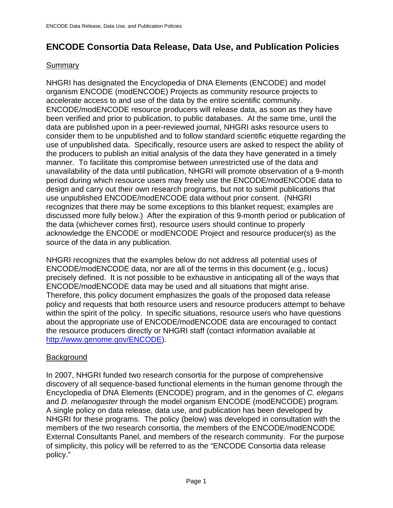# **ENCODE Consortia Data Release, Data Use, and Publication Policies**

#### **Summary**

NHGRI has designated the Encyclopedia of DNA Elements (ENCODE) and model organism ENCODE (modENCODE) Projects as community resource projects to accelerate access to and use of the data by the entire scientific community. ENCODE/modENCODE resource producers will release data, as soon as they have been verified and prior to publication, to public databases. At the same time, until the data are published upon in a peer-reviewed journal, NHGRI asks resource users to consider them to be unpublished and to follow standard scientific etiquette regarding the use of unpublished data. Specifically, resource users are asked to respect the ability of the producers to publish an initial analysis of the data they have generated in a timely manner. To facilitate this compromise between unrestricted use of the data and unavailability of the data until publication, NHGRI will promote observation of a 9-month period during which resource users may freely use the ENCODE/modENCODE data to design and carry out their own research programs, but not to submit publications that use unpublished ENCODE/modENCODE data without prior consent. (NHGRI recognizes that there may be some exceptions to this blanket request; examples are discussed more fully below.) After the expiration of this 9-month period or publication of the data (whichever comes first), resource users should continue to properly acknowledge the ENCODE or modENCODE Project and resource producer(s) as the source of the data in any publication.

NHGRI recognizes that the examples below do not address all potential uses of ENCODE/modENCODE data, nor are all of the terms in this document (e.g., locus) precisely defined. It is not possible to be exhaustive in anticipating all of the ways that ENCODE/modENCODE data may be used and all situations that might arise. Therefore, this policy document emphasizes the goals of the proposed data release policy and requests that both resource users and resource producers attempt to behave within the spirit of the policy. In specific situations, resource users who have questions about the appropriate use of ENCODE/modENCODE data are encouraged to contact the resource producers directly or NHGRI staff (contact information available at <http://www.genome.gov/ENCODE>).

### **Background**

In 2007, NHGRI funded two research consortia for the purpose of comprehensive discovery of all sequence-based functional elements in the human genome through the Encyclopedia of DNA Elements (ENCODE) program, and in the genomes of *C. elegans* and *D. melanogaster* through the model organism ENCODE (modENCODE) program. A single policy on data release, data use, and publication has been developed by NHGRI for these programs. The policy (below) was developed in consultation with the members of the two research consortia, the members of the ENCODE/modENCODE External Consultants Panel, and members of the research community. For the purpose of simplicity, this policy will be referred to as the "ENCODE Consortia data release policy."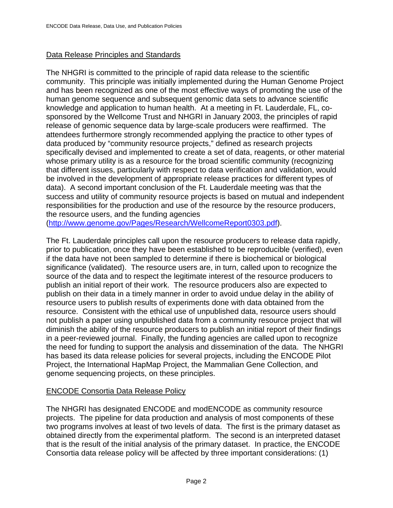## Data Release Principles and Standards

The NHGRI is committed to the principle of rapid data release to the scientific community. This principle was initially implemented during the Human Genome Project and has been recognized as one of the most effective ways of promoting the use of the human genome sequence and subsequent genomic data sets to advance scientific knowledge and application to human health. At a meeting in Ft. Lauderdale, FL, cosponsored by the Wellcome Trust and NHGRI in January 2003, the principles of rapid release of genomic sequence data by large-scale producers were reaffirmed. The attendees furthermore strongly recommended applying the practice to other types of data produced by "community resource projects," defined as research projects specifically devised and implemented to create a set of data, reagents, or other material whose primary utility is as a resource for the broad scientific community (recognizing that different issues, particularly with respect to data verification and validation, would be involved in the development of appropriate release practices for different types of data). A second important conclusion of the Ft. Lauderdale meeting was that the success and utility of community resource projects is based on mutual and independent responsibilities for the production and use of the resource by the resource producers, the resource users, and the funding agencies

(<http://www.genome.gov/Pages/Research/WellcomeReport0303.pdf>).

The Ft. Lauderdale principles call upon the resource producers to release data rapidly, prior to publication, once they have been established to be reproducible (verified), even if the data have not been sampled to determine if there is biochemical or biological significance (validated). The resource users are, in turn, called upon to recognize the source of the data and to respect the legitimate interest of the resource producers to publish an initial report of their work. The resource producers also are expected to publish on their data in a timely manner in order to avoid undue delay in the ability of resource users to publish results of experiments done with data obtained from the resource. Consistent with the ethical use of unpublished data, resource users should not publish a paper using unpublished data from a community resource project that will diminish the ability of the resource producers to publish an initial report of their findings in a peer-reviewed journal. Finally, the funding agencies are called upon to recognize the need for funding to support the analysis and dissemination of the data. The NHGRI has based its data release policies for several projects, including the ENCODE Pilot Project, the International HapMap Project, the Mammalian Gene Collection, and genome sequencing projects, on these principles.

### ENCODE Consortia Data Release Policy

The NHGRI has designated ENCODE and modENCODE as community resource projects. The pipeline for data production and analysis of most components of these two programs involves at least of two levels of data. The first is the primary dataset as obtained directly from the experimental platform. The second is an interpreted dataset that is the result of the initial analysis of the primary dataset. In practice, the ENCODE Consortia data release policy will be affected by three important considerations: (1)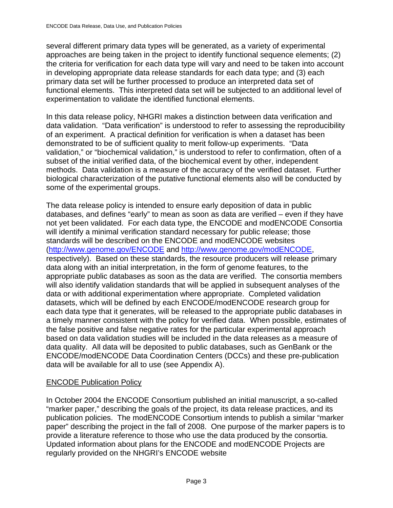several different primary data types will be generated, as a variety of experimental approaches are being taken in the project to identify functional sequence elements; (2) the criteria for verification for each data type will vary and need to be taken into account in developing appropriate data release standards for each data type; and (3) each primary data set will be further processed to produce an interpreted data set of functional elements. This interpreted data set will be subjected to an additional level of experimentation to validate the identified functional elements.

In this data release policy, NHGRI makes a distinction between data verification and data validation. "Data verification" is understood to refer to assessing the reproducibility of an experiment. A practical definition for verification is when a dataset has been demonstrated to be of sufficient quality to merit follow-up experiments. "Data validation," or "biochemical validation," is understood to refer to confirmation, often of a subset of the initial verified data, of the biochemical event by other, independent methods. Data validation is a measure of the accuracy of the verified dataset. Further biological characterization of the putative functional elements also will be conducted by some of the experimental groups.

The data release policy is intended to ensure early deposition of data in public databases, and defines "early" to mean as soon as data are verified – even if they have not yet been validated. For each data type, the ENCODE and modENCODE Consortia will identify a minimal verification standard necessary for public release; those standards will be described on the ENCODE and modENCODE websites (<http://www.genome.gov/ENCODE> and <http://www.genome.gov/modENCODE>, respectively). Based on these standards, the resource producers will release primary data along with an initial interpretation, in the form of genome features, to the appropriate public databases as soon as the data are verified. The consortia members will also identify validation standards that will be applied in subsequent analyses of the data or with additional experimentation where appropriate. Completed validation datasets, which will be defined by each ENCODE/modENCODE research group for each data type that it generates, will be released to the appropriate public databases in a timely manner consistent with the policy for verified data. When possible, estimates of the false positive and false negative rates for the particular experimental approach based on data validation studies will be included in the data releases as a measure of data quality. All data will be deposited to public databases, such as GenBank or the ENCODE/modENCODE Data Coordination Centers (DCCs) and these pre-publication data will be available for all to use (see Appendix A).

### ENCODE Publication Policy

In October 2004 the ENCODE Consortium published an initial manuscript, a so-called "marker paper," describing the goals of the project, its data release practices, and its publication policies. The modENCODE Consortium intends to publish a similar "marker paper" describing the project in the fall of 2008. One purpose of the marker papers is to provide a literature reference to those who use the data produced by the consortia. Updated information about plans for the ENCODE and modENCODE Projects are regularly provided on the NHGRI's ENCODE website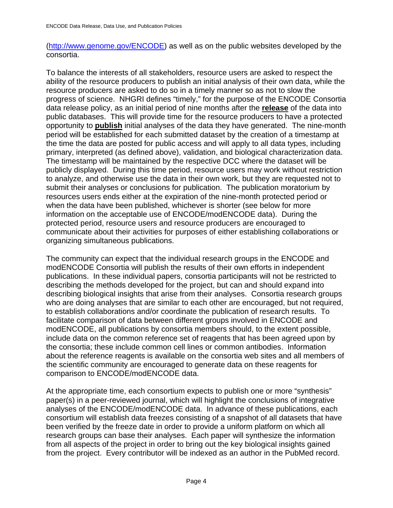(<http://www.genome.gov/ENCODE>) as well as on the public websites developed by the consortia.

To balance the interests of all stakeholders, resource users are asked to respect the ability of the resource producers to publish an initial analysis of their own data, while the resource producers are asked to do so in a timely manner so as not to slow the progress of science. NHGRI defines "timely," for the purpose of the ENCODE Consortia data release policy, as an initial period of nine months after the **release** of the data into public databases. This will provide time for the resource producers to have a protected opportunity to **publish** initial analyses of the data they have generated. The nine-month period will be established for each submitted dataset by the creation of a timestamp at the time the data are posted for public access and will apply to all data types, including primary, interpreted (as defined above), validation, and biological characterization data. The timestamp will be maintained by the respective DCC where the dataset will be publicly displayed. During this time period, resource users may work without restriction to analyze, and otherwise use the data in their own work, but they are requested not to submit their analyses or conclusions for publication. The publication moratorium by resources users ends either at the expiration of the nine-month protected period or when the data have been published, whichever is shorter (see below for more information on the acceptable use of ENCODE/modENCODE data). During the protected period, resource users and resource producers are encouraged to communicate about their activities for purposes of either establishing collaborations or organizing simultaneous publications.

The community can expect that the individual research groups in the ENCODE and modENCODE Consortia will publish the results of their own efforts in independent publications. In these individual papers, consortia participants will not be restricted to describing the methods developed for the project, but can and should expand into describing biological insights that arise from their analyses. Consortia research groups who are doing analyses that are similar to each other are encouraged, but not required, to establish collaborations and/or coordinate the publication of research results. To facilitate comparison of data between different groups involved in ENCODE and modENCODE, all publications by consortia members should, to the extent possible, include data on the common reference set of reagents that has been agreed upon by the consortia; these include common cell lines or common antibodies. Information about the reference reagents is available on the consortia web sites and all members of the scientific community are encouraged to generate data on these reagents for comparison to ENCODE/modENCODE data.

At the appropriate time, each consortium expects to publish one or more "synthesis" paper(s) in a peer-reviewed journal, which will highlight the conclusions of integrative analyses of the ENCODE/modENCODE data. In advance of these publications, each consortium will establish data freezes consisting of a snapshot of all datasets that have been verified by the freeze date in order to provide a uniform platform on which all research groups can base their analyses. Each paper will synthesize the information from all aspects of the project in order to bring out the key biological insights gained from the project. Every contributor will be indexed as an author in the PubMed record.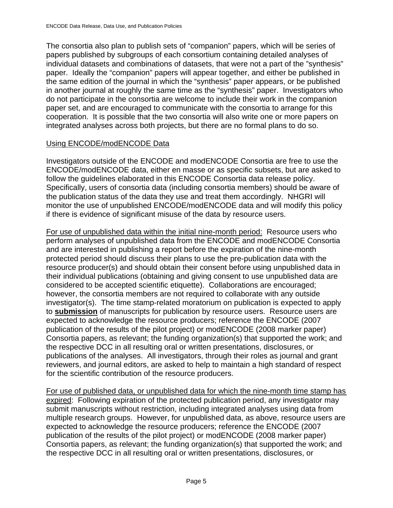The consortia also plan to publish sets of "companion" papers, which will be series of papers published by subgroups of each consortium containing detailed analyses of individual datasets and combinations of datasets, that were not a part of the "synthesis" paper. Ideally the "companion" papers will appear together, and either be published in the same edition of the journal in which the "synthesis" paper appears, or be published in another journal at roughly the same time as the "synthesis" paper. Investigators who do not participate in the consortia are welcome to include their work in the companion paper set, and are encouraged to communicate with the consortia to arrange for this cooperation. It is possible that the two consortia will also write one or more papers on integrated analyses across both projects, but there are no formal plans to do so.

### Using ENCODE/modENCODE Data

Investigators outside of the ENCODE and modENCODE Consortia are free to use the ENCODE/modENCODE data, either en masse or as specific subsets, but are asked to follow the guidelines elaborated in this ENCODE Consortia data release policy. Specifically, users of consortia data (including consortia members) should be aware of the publication status of the data they use and treat them accordingly. NHGRI will monitor the use of unpublished ENCODE/modENCODE data and will modify this policy if there is evidence of significant misuse of the data by resource users.

For use of unpublished data within the initial nine-month period: Resource users who perform analyses of unpublished data from the ENCODE and modENCODE Consortia and are interested in publishing a report before the expiration of the nine-month protected period should discuss their plans to use the pre-publication data with the resource producer(s) and should obtain their consent before using unpublished data in their individual publications (obtaining and giving consent to use unpublished data are considered to be accepted scientific etiquette). Collaborations are encouraged; however, the consortia members are not required to collaborate with any outside investigator(s). The time stamp-related moratorium on publication is expected to apply to **submission** of manuscripts for publication by resource users. Resource users are expected to acknowledge the resource producers; reference the ENCODE (2007 publication of the results of the pilot project) or modENCODE (2008 marker paper) Consortia papers, as relevant; the funding organization(s) that supported the work; and the respective DCC in all resulting oral or written presentations, disclosures, or publications of the analyses. All investigators, through their roles as journal and grant reviewers, and journal editors, are asked to help to maintain a high standard of respect for the scientific contribution of the resource producers.

For use of published data, or unpublished data for which the nine-month time stamp has expired: Following expiration of the protected publication period, any investigator may submit manuscripts without restriction, including integrated analyses using data from multiple research groups. However, for unpublished data, as above, resource users are expected to acknowledge the resource producers; reference the ENCODE (2007 publication of the results of the pilot project) or modENCODE (2008 marker paper) Consortia papers, as relevant; the funding organization(s) that supported the work; and the respective DCC in all resulting oral or written presentations, disclosures, or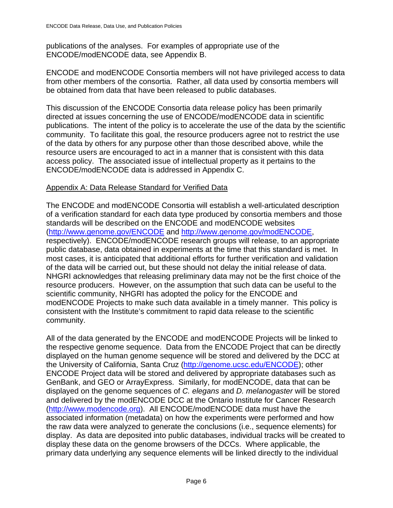publications of the analyses. For examples of appropriate use of the ENCODE/modENCODE data, see Appendix B.

ENCODE and modENCODE Consortia members will not have privileged access to data from other members of the consortia. Rather, all data used by consortia members will be obtained from data that have been released to public databases.

This discussion of the ENCODE Consortia data release policy has been primarily directed at issues concerning the use of ENCODE/modENCODE data in scientific publications. The intent of the policy is to accelerate the use of the data by the scientific community. To facilitate this goal, the resource producers agree not to restrict the use of the data by others for any purpose other than those described above, while the resource users are encouraged to act in a manner that is consistent with this data access policy. The associated issue of intellectual property as it pertains to the ENCODE/modENCODE data is addressed in Appendix C.

### Appendix A: Data Release Standard for Verified Data

The ENCODE and modENCODE Consortia will establish a well-articulated description of a verification standard for each data type produced by consortia members and those standards will be described on the ENCODE and modENCODE websites (<http://www.genome.gov/ENCODE> and <http://www.genome.gov/modENCODE>, respectively). ENCODE/modENCODE research groups will release, to an appropriate public database, data obtained in experiments at the time that this standard is met. In most cases, it is anticipated that additional efforts for further verification and validation of the data will be carried out, but these should not delay the initial release of data. NHGRI acknowledges that releasing preliminary data may not be the first choice of the resource producers. However, on the assumption that such data can be useful to the scientific community, NHGRI has adopted the policy for the ENCODE and modENCODE Projects to make such data available in a timely manner. This policy is consistent with the Institute's commitment to rapid data release to the scientific community.

All of the data generated by the ENCODE and modENCODE Projects will be linked to the respective genome sequence. Data from the ENCODE Project that can be directly displayed on the human genome sequence will be stored and delivered by the DCC at the University of California, Santa Cruz [\(http://genome.ucsc.edu/ENCODE](http://genome.ucsc.edu/ENCODE)); other ENCODE Project data will be stored and delivered by appropriate databases such as GenBank, and GEO or ArrayExpress. Similarly, for modENCODE, data that can be displayed on the genome sequences of *C. elegans* and *D. melanogaster* will be stored and delivered by the modENCODE DCC at the Ontario Institute for Cancer Research ([http://www.modencode.org\)](http://www.modencode.org/). All ENCODE/modENCODE data must have the associated information (metadata) on how the experiments were performed and how the raw data were analyzed to generate the conclusions (i.e., sequence elements) for display. As data are deposited into public databases, individual tracks will be created to display these data on the genome browsers of the DCCs. Where applicable, the primary data underlying any sequence elements will be linked directly to the individual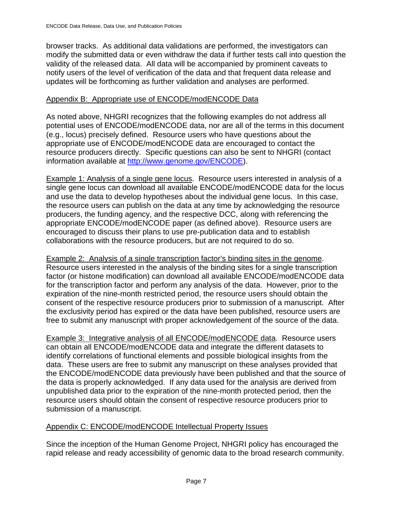browser tracks. As additional data validations are performed, the investigators can modify the submitted data or even withdraw the data if further tests call into question the validity of the released data. All data will be accompanied by prominent caveats to notify users of the level of verification of the data and that frequent data release and updates will be forthcoming as further validation and analyses are performed.

#### Appendix B: Appropriate use of ENCODE/modENCODE Data

As noted above, NHGRI recognizes that the following examples do not address all potential uses of ENCODE/modENCODE data, nor are all of the terms in this document (e.g., locus) precisely defined. Resource users who have questions about the appropriate use of ENCODE/modENCODE data are encouraged to contact the resource producers directly. Specific questions can also be sent to NHGRI (contact information available at [http://www.genome.gov/ENCODE\)](http://www.genome.gov/ENCODE).

Example 1: Analysis of a single gene locus. Resource users interested in analysis of a single gene locus can download all available ENCODE/modENCODE data for the locus and use the data to develop hypotheses about the individual gene locus. In this case, the resource users can publish on the data at any time by acknowledging the resource producers, the funding agency, and the respective DCC, along with referencing the appropriate ENCODE/modENCODE paper (as defined above). Resource users are encouraged to discuss their plans to use pre-publication data and to establish collaborations with the resource producers, but are not required to do so.

Example 2: Analysis of a single transcription factor's binding sites in the genome. Resource users interested in the analysis of the binding sites for a single transcription factor (or histone modification) can download all available ENCODE/modENCODE data for the transcription factor and perform any analysis of the data. However, prior to the expiration of the nine-month restricted period, the resource users should obtain the consent of the respective resource producers prior to submission of a manuscript. After the exclusivity period has expired or the data have been published, resource users are free to submit any manuscript with proper acknowledgement of the source of the data.

Example 3: Integrative analysis of all ENCODE/modENCODE data. Resource users can obtain all ENCODE/modENCODE data and integrate the different datasets to identify correlations of functional elements and possible biological insights from the data. These users are free to submit any manuscript on these analyses provided that the ENCODE/modENCODE data previously have been published and that the source of the data is properly acknowledged. If any data used for the analysis are derived from unpublished data prior to the expiration of the nine-month protected period, then the resource users should obtain the consent of respective resource producers prior to submission of a manuscript.

### Appendix C: ENCODE/modENCODE Intellectual Property Issues

Since the inception of the Human Genome Project, NHGRI policy has encouraged the rapid release and ready accessibility of genomic data to the broad research community.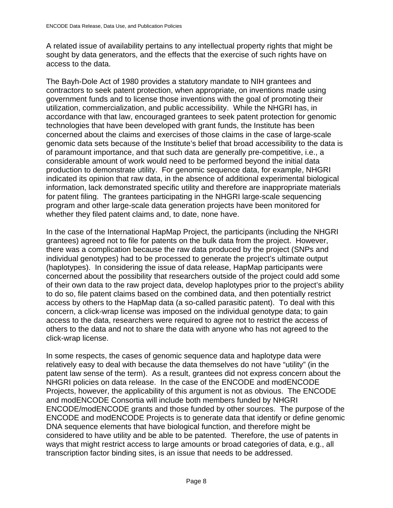A related issue of availability pertains to any intellectual property rights that might be sought by data generators, and the effects that the exercise of such rights have on access to the data.

The Bayh-Dole Act of 1980 provides a statutory mandate to NIH grantees and contractors to seek patent protection, when appropriate, on inventions made using government funds and to license those inventions with the goal of promoting their utilization, commercialization, and public accessibility. While the NHGRI has, in accordance with that law, encouraged grantees to seek patent protection for genomic technologies that have been developed with grant funds, the Institute has been concerned about the claims and exercises of those claims in the case of large-scale genomic data sets because of the Institute's belief that broad accessibility to the data is of paramount importance, and that such data are generally pre-competitive, i.e., a considerable amount of work would need to be performed beyond the initial data production to demonstrate utility. For genomic sequence data, for example, NHGRI indicated its opinion that raw data, in the absence of additional experimental biological information, lack demonstrated specific utility and therefore are inappropriate materials for patent filing. The grantees participating in the NHGRI large-scale sequencing program and other large-scale data generation projects have been monitored for whether they filed patent claims and, to date, none have.

In the case of the International HapMap Project, the participants (including the NHGRI grantees) agreed not to file for patents on the bulk data from the project. However, there was a complication because the raw data produced by the project (SNPs and individual genotypes) had to be processed to generate the project's ultimate output (haplotypes). In considering the issue of data release, HapMap participants were concerned about the possibility that researchers outside of the project could add some of their own data to the raw project data, develop haplotypes prior to the project's ability to do so, file patent claims based on the combined data, and then potentially restrict access by others to the HapMap data (a so-called parasitic patent). To deal with this concern, a click-wrap license was imposed on the individual genotype data; to gain access to the data, researchers were required to agree not to restrict the access of others to the data and not to share the data with anyone who has not agreed to the click-wrap license.

In some respects, the cases of genomic sequence data and haplotype data were relatively easy to deal with because the data themselves do not have "utility" (in the patent law sense of the term). As a result, grantees did not express concern about the NHGRI policies on data release. In the case of the ENCODE and modENCODE Projects, however, the applicability of this argument is not as obvious. The ENCODE and modENCODE Consortia will include both members funded by NHGRI ENCODE/modENCODE grants and those funded by other sources. The purpose of the ENCODE and modENCODE Projects is to generate data that identify or define genomic DNA sequence elements that have biological function, and therefore might be considered to have utility and be able to be patented. Therefore, the use of patents in ways that might restrict access to large amounts or broad categories of data, e.g., all transcription factor binding sites, is an issue that needs to be addressed.